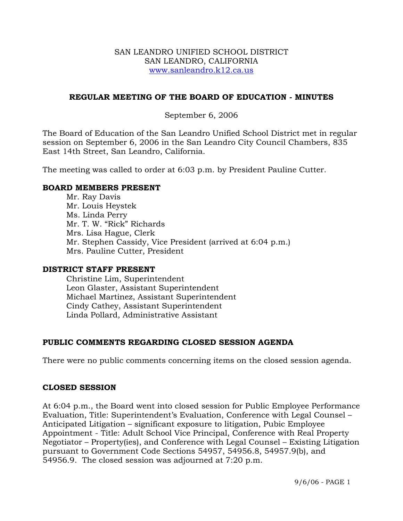### SAN LEANDRO UNIFIED SCHOOL DISTRICT SAN LEANDRO, CALIFORNIA www.sanleandro.k12.ca.us

# **REGULAR MEETING OF THE BOARD OF EDUCATION - MINUTES**

## September 6, 2006

The Board of Education of the San Leandro Unified School District met in regular session on September 6, 2006 in the San Leandro City Council Chambers, 835 East 14th Street, San Leandro, California.

The meeting was called to order at 6:03 p.m. by President Pauline Cutter.

#### **BOARD MEMBERS PRESENT**

Mr. Ray Davis Mr. Louis Heystek Ms. Linda Perry Mr. T. W. "Rick" Richards Mrs. Lisa Hague, Clerk Mr. Stephen Cassidy, Vice President (arrived at 6:04 p.m.) Mrs. Pauline Cutter, President

#### **DISTRICT STAFF PRESENT**

Christine Lim, Superintendent Leon Glaster, Assistant Superintendent Michael Martinez, Assistant Superintendent Cindy Cathey, Assistant Superintendent Linda Pollard, Administrative Assistant

# **PUBLIC COMMENTS REGARDING CLOSED SESSION AGENDA**

There were no public comments concerning items on the closed session agenda.

#### **CLOSED SESSION**

At 6:04 p.m., the Board went into closed session for Public Employee Performance Evaluation, Title: Superintendent's Evaluation, Conference with Legal Counsel – Anticipated Litigation – significant exposure to litigation, Pubic Employee Appointment - Title: Adult School Vice Principal, Conference with Real Property Negotiator – Property(ies), and Conference with Legal Counsel – Existing Litigation pursuant to Government Code Sections 54957, 54956.8, 54957.9(b), and 54956.9. The closed session was adjourned at 7:20 p.m.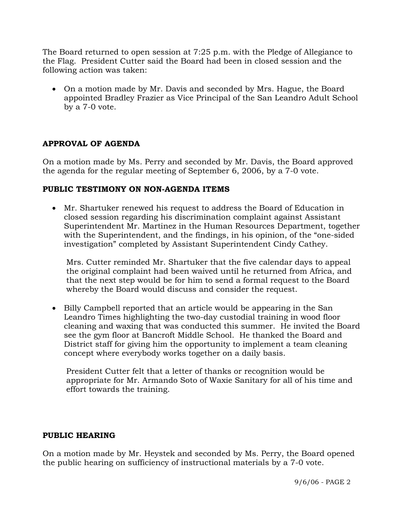The Board returned to open session at 7:25 p.m. with the Pledge of Allegiance to the Flag. President Cutter said the Board had been in closed session and the following action was taken:

• On a motion made by Mr. Davis and seconded by Mrs. Hague, the Board appointed Bradley Frazier as Vice Principal of the San Leandro Adult School by a 7-0 vote.

# **APPROVAL OF AGENDA**

On a motion made by Ms. Perry and seconded by Mr. Davis, the Board approved the agenda for the regular meeting of September 6, 2006, by a 7-0 vote.

### **PUBLIC TESTIMONY ON NON-AGENDA ITEMS**

• Mr. Shartuker renewed his request to address the Board of Education in closed session regarding his discrimination complaint against Assistant Superintendent Mr. Martinez in the Human Resources Department, together with the Superintendent, and the findings, in his opinion, of the "one-sided investigation" completed by Assistant Superintendent Cindy Cathey.

 Mrs. Cutter reminded Mr. Shartuker that the five calendar days to appeal the original complaint had been waived until he returned from Africa, and that the next step would be for him to send a formal request to the Board whereby the Board would discuss and consider the request.

• Billy Campbell reported that an article would be appearing in the San Leandro Times highlighting the two-day custodial training in wood floor cleaning and waxing that was conducted this summer. He invited the Board see the gym floor at Bancroft Middle School. He thanked the Board and District staff for giving him the opportunity to implement a team cleaning concept where everybody works together on a daily basis.

 President Cutter felt that a letter of thanks or recognition would be appropriate for Mr. Armando Soto of Waxie Sanitary for all of his time and effort towards the training.

#### **PUBLIC HEARING**

On a motion made by Mr. Heystek and seconded by Ms. Perry, the Board opened the public hearing on sufficiency of instructional materials by a 7-0 vote.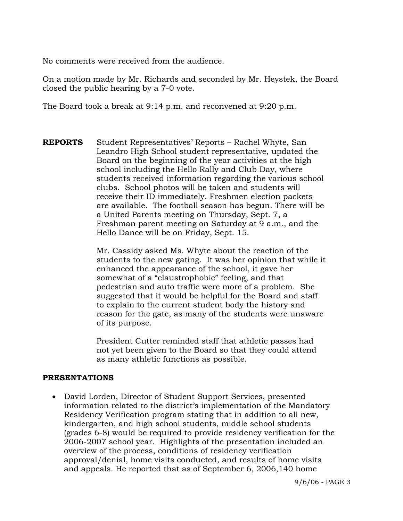No comments were received from the audience.

On a motion made by Mr. Richards and seconded by Mr. Heystek, the Board closed the public hearing by a 7-0 vote.

The Board took a break at 9:14 p.m. and reconvened at 9:20 p.m.

**REPORTS** Student Representatives' Reports – Rachel Whyte, San Leandro High School student representative, updated the Board on the beginning of the year activities at the high school including the Hello Rally and Club Day, where students received information regarding the various school clubs. School photos will be taken and students will receive their ID immediately. Freshmen election packets are available. The football season has begun. There will be a United Parents meeting on Thursday, Sept. 7, a Freshman parent meeting on Saturday at 9 a.m., and the Hello Dance will be on Friday, Sept. 15.

> Mr. Cassidy asked Ms. Whyte about the reaction of the students to the new gating. It was her opinion that while it enhanced the appearance of the school, it gave her somewhat of a "claustrophobic" feeling, and that pedestrian and auto traffic were more of a problem. She suggested that it would be helpful for the Board and staff to explain to the current student body the history and reason for the gate, as many of the students were unaware of its purpose.

President Cutter reminded staff that athletic passes had not yet been given to the Board so that they could attend as many athletic functions as possible.

#### **PRESENTATIONS**

• David Lorden, Director of Student Support Services, presented information related to the district's implementation of the Mandatory Residency Verification program stating that in addition to all new, kindergarten, and high school students, middle school students (grades 6-8) would be required to provide residency verification for the 2006-2007 school year. Highlights of the presentation included an overview of the process, conditions of residency verification approval/denial, home visits conducted, and results of home visits and appeals. He reported that as of September 6, 2006,140 home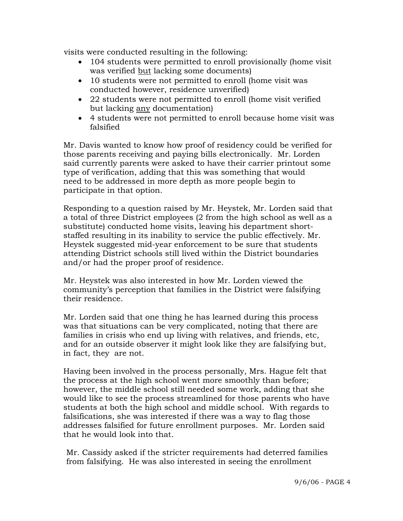visits were conducted resulting in the following:

- 104 students were permitted to enroll provisionally (home visit was verified but lacking some documents)
- 10 students were not permitted to enroll (home visit was conducted however, residence unverified)
- 22 students were not permitted to enroll (home visit verified but lacking any documentation)
- 4 students were not permitted to enroll because home visit was falsified

 Mr. Davis wanted to know how proof of residency could be verified for those parents receiving and paying bills electronically. Mr. Lorden said currently parents were asked to have their carrier printout some type of verification, adding that this was something that would need to be addressed in more depth as more people begin to participate in that option.

 Responding to a question raised by Mr. Heystek, Mr. Lorden said that a total of three District employees (2 from the high school as well as a substitute) conducted home visits, leaving his department short staffed resulting in its inability to service the public effectively. Mr. Heystek suggested mid-year enforcement to be sure that students attending District schools still lived within the District boundaries and/or had the proper proof of residence.

 Mr. Heystek was also interested in how Mr. Lorden viewed the community's perception that families in the District were falsifying their residence.

 Mr. Lorden said that one thing he has learned during this process was that situations can be very complicated, noting that there are families in crisis who end up living with relatives, and friends, etc, and for an outside observer it might look like they are falsifying but, in fact, they are not.

 Having been involved in the process personally, Mrs. Hague felt that the process at the high school went more smoothly than before; however, the middle school still needed some work, adding that she would like to see the process streamlined for those parents who have students at both the high school and middle school. With regards to falsifications, she was interested if there was a way to flag those addresses falsified for future enrollment purposes. Mr. Lorden said that he would look into that.

 Mr. Cassidy asked if the stricter requirements had deterred families from falsifying. He was also interested in seeing the enrollment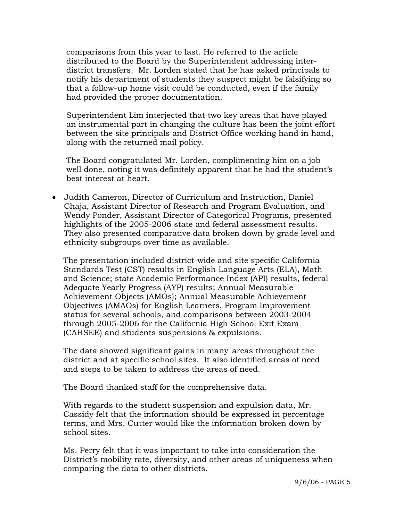comparisons from this year to last. He referred to the article distributed to the Board by the Superintendent addressing inter district transfers. Mr. Lorden stated that he has asked principals to notify his department of students they suspect might be falsifying so that a follow-up home visit could be conducted, even if the family had provided the proper documentation.

 Superintendent Lim interjected that two key areas that have played an instrumental part in changing the culture has been the joint effort between the site principals and District Office working hand in hand, along with the returned mail policy.

 The Board congratulated Mr. Lorden, complimenting him on a job well done, noting it was definitely apparent that he had the student's best interest at heart.

• Judith Cameron, Director of Curriculum and Instruction, Daniel Chaja, Assistant Director of Research and Program Evaluation, and Wendy Ponder, Assistant Director of Categorical Programs, presented highlights of the 2005-2006 state and federal assessment results. They also presented comparative data broken down by grade level and ethnicity subgroups over time as available.

 The presentation included district-wide and site specific California Standards Test (CST) results in English Language Arts (ELA), Math and Science; state Academic Performance Index (API) results, federal Adequate Yearly Progress (AYP) results; Annual Measurable Achievement Objects (AMOs); Annual Measurable Achievement Objectives (AMAOs) for English Learners, Program Improvement status for several schools, and comparisons between 2003-2004 through 2005-2006 for the California High School Exit Exam (CAHSEE) and students suspensions & expulsions.

 The data showed significant gains in many areas throughout the district and at specific school sites. It also identified areas of need and steps to be taken to address the areas of need.

The Board thanked staff for the comprehensive data.

 With regards to the student suspension and expulsion data, Mr. Cassidy felt that the information should be expressed in percentage terms, and Mrs. Cutter would like the information broken down by school sites.

 Ms. Perry felt that it was important to take into consideration the District's mobility rate, diversity, and other areas of uniqueness when comparing the data to other districts.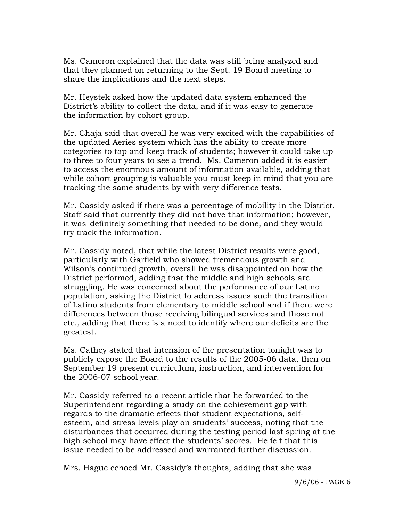Ms. Cameron explained that the data was still being analyzed and that they planned on returning to the Sept. 19 Board meeting to share the implications and the next steps.

 Mr. Heystek asked how the updated data system enhanced the District's ability to collect the data, and if it was easy to generate the information by cohort group.

 Mr. Chaja said that overall he was very excited with the capabilities of the updated Aeries system which has the ability to create more categories to tap and keep track of students; however it could take up to three to four years to see a trend. Ms. Cameron added it is easier to access the enormous amount of information available, adding that while cohort grouping is valuable you must keep in mind that you are tracking the same students by with very difference tests.

 Mr. Cassidy asked if there was a percentage of mobility in the District. Staff said that currently they did not have that information; however, it was definitely something that needed to be done, and they would try track the information.

 Mr. Cassidy noted, that while the latest District results were good, particularly with Garfield who showed tremendous growth and Wilson's continued growth, overall he was disappointed on how the District performed, adding that the middle and high schools are struggling. He was concerned about the performance of our Latino population, asking the District to address issues such the transition of Latino students from elementary to middle school and if there were differences between those receiving bilingual services and those not etc., adding that there is a need to identify where our deficits are the greatest.

 Ms. Cathey stated that intension of the presentation tonight was to publicly expose the Board to the results of the 2005-06 data, then on September 19 present curriculum, instruction, and intervention for the 2006-07 school year.

 Mr. Cassidy referred to a recent article that he forwarded to the Superintendent regarding a study on the achievement gap with regards to the dramatic effects that student expectations, self esteem, and stress levels play on students' success, noting that the disturbances that occurred during the testing period last spring at the high school may have effect the students' scores. He felt that this issue needed to be addressed and warranted further discussion.

Mrs. Hague echoed Mr. Cassidy's thoughts, adding that she was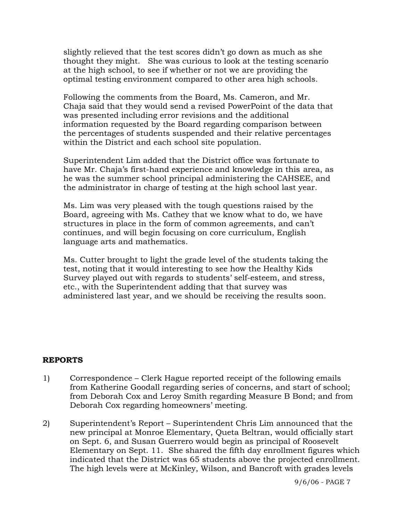slightly relieved that the test scores didn't go down as much as she thought they might. She was curious to look at the testing scenario at the high school, to see if whether or not we are providing the optimal testing environment compared to other area high schools.

 Following the comments from the Board, Ms. Cameron, and Mr. Chaja said that they would send a revised PowerPoint of the data that was presented including error revisions and the additional information requested by the Board regarding comparison between the percentages of students suspended and their relative percentages within the District and each school site population.

 Superintendent Lim added that the District office was fortunate to have Mr. Chaja's first-hand experience and knowledge in this area, as he was the summer school principal administering the CAHSEE, and the administrator in charge of testing at the high school last year.

 Ms. Lim was very pleased with the tough questions raised by the Board, agreeing with Ms. Cathey that we know what to do, we have structures in place in the form of common agreements, and can't continues, and will begin focusing on core curriculum, English language arts and mathematics.

 Ms. Cutter brought to light the grade level of the students taking the test, noting that it would interesting to see how the Healthy Kids Survey played out with regards to students' self-esteem, and stress, etc., with the Superintendent adding that that survey was administered last year, and we should be receiving the results soon.

#### **REPORTS**

- 1) Correspondence Clerk Hague reported receipt of the following emails from Katherine Goodall regarding series of concerns, and start of school; from Deborah Cox and Leroy Smith regarding Measure B Bond; and from Deborah Cox regarding homeowners' meeting.
- 2) Superintendent's Report Superintendent Chris Lim announced that the new principal at Monroe Elementary, Queta Beltran, would officially start on Sept. 6, and Susan Guerrero would begin as principal of Roosevelt Elementary on Sept. 11. She shared the fifth day enrollment figures which indicated that the District was 65 students above the projected enrollment. The high levels were at McKinley, Wilson, and Bancroft with grades levels

9/6/06 - PAGE 7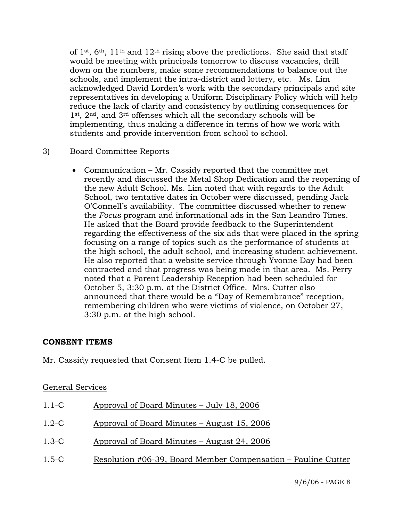of 1<sup>st</sup>,  $6<sup>th</sup>$ , 11<sup>th</sup> and 12<sup>th</sup> rising above the predictions. She said that staff would be meeting with principals tomorrow to discuss vacancies, drill down on the numbers, make some recommendations to balance out the schools, and implement the intra-district and lottery, etc. Ms. Lim acknowledged David Lorden's work with the secondary principals and site representatives in developing a Uniform Disciplinary Policy which will help reduce the lack of clarity and consistency by outlining consequences for 1st, 2nd, and 3rd offenses which all the secondary schools will be implementing, thus making a difference in terms of how we work with students and provide intervention from school to school.

# 3) Board Committee Reports

• Communication – Mr. Cassidy reported that the committee met recently and discussed the Metal Shop Dedication and the reopening of the new Adult School. Ms. Lim noted that with regards to the Adult School, two tentative dates in October were discussed, pending Jack O'Connell's availability. The committee discussed whether to renew the *Focus* program and informational ads in the San Leandro Times. He asked that the Board provide feedback to the Superintendent regarding the effectiveness of the six ads that were placed in the spring focusing on a range of topics such as the performance of students at the high school, the adult school, and increasing student achievement. He also reported that a website service through Yvonne Day had been contracted and that progress was being made in that area. Ms. Perry noted that a Parent Leadership Reception had been scheduled for October 5, 3:30 p.m. at the District Office. Mrs. Cutter also announced that there would be a "Day of Remembrance" reception, remembering children who were victims of violence, on October 27, 3:30 p.m. at the high school.

# **CONSENT ITEMS**

Mr. Cassidy requested that Consent Item 1.4-C be pulled.

# General Services

| $1.1-C$ | Approval of Board Minutes – July 18, 2006                     |
|---------|---------------------------------------------------------------|
| $1.2-C$ | Approval of Board Minutes – August 15, 2006                   |
| $1.3-C$ | Approval of Board Minutes – August 24, 2006                   |
| $1.5-C$ | Resolution #06-39, Board Member Compensation – Pauline Cutter |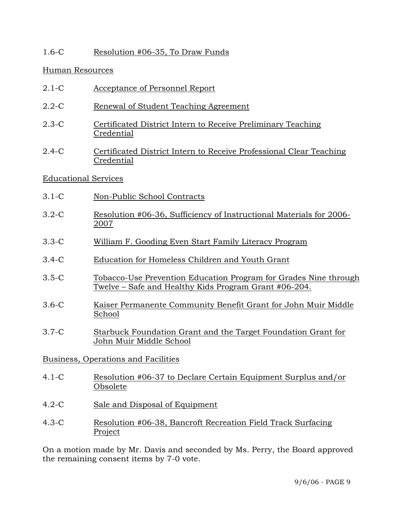# 1.6-C Resolution #06-35, To Draw Funds

## Human Resources

- 2.1-C Acceptance of Personnel Report
- 2.2-C Renewal of Student Teaching Agreement
- 2.3-C Certificated District Intern to Receive Preliminary Teaching Credential
- 2.4-C Certificated District Intern to Receive Professional Clear Teaching Credential

### Educational Services

- 3.1-C Non-Public School Contracts
- 3.2-C Resolution #06-36, Sufficiency of Instructional Materials for 2006- 2007
- 3.3-C William F. Gooding Even Start Family Literacy Program
- 3.4-C Education for Homeless Children and Youth Grant
- 3.5-C Tobacco-Use Prevention Education Program for Grades Nine through Twelve – Safe and Healthy Kids Program Grant #06-204.
- 3.6-C Kaiser Permanente Community Benefit Grant for John Muir Middle School
- 3.7-C Starbuck Foundation Grant and the Target Foundation Grant for John Muir Middle School

Business, Operations and Facilities

- 4.1-C Resolution #06-37 to Declare Certain Equipment Surplus and/or Obsolete
- 4.2-C Sale and Disposal of Equipment
- 4.3-C Resolution #06-38, Bancroft Recreation Field Track Surfacing Project

On a motion made by Mr. Davis and seconded by Ms. Perry, the Board approved the remaining consent items by 7-0 vote.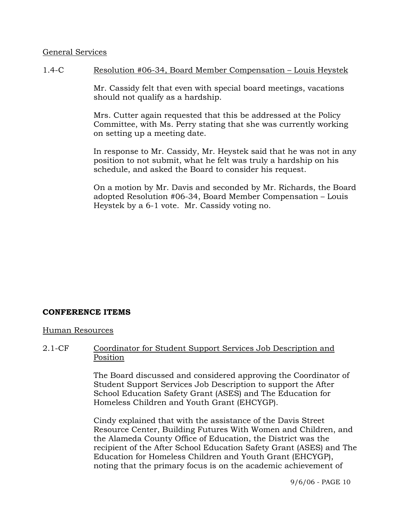### General Services

### 1.4-C Resolution #06-34, Board Member Compensation – Louis Heystek

Mr. Cassidy felt that even with special board meetings, vacations should not qualify as a hardship.

Mrs. Cutter again requested that this be addressed at the Policy Committee, with Ms. Perry stating that she was currently working on setting up a meeting date.

In response to Mr. Cassidy, Mr. Heystek said that he was not in any position to not submit, what he felt was truly a hardship on his schedule, and asked the Board to consider his request.

On a motion by Mr. Davis and seconded by Mr. Richards, the Board adopted Resolution #06-34, Board Member Compensation – Louis Heystek by a 6-1 vote. Mr. Cassidy voting no.

# **CONFERENCE ITEMS**

#### Human Resources

2.1-CF Coordinator for Student Support Services Job Description and Position

> The Board discussed and considered approving the Coordinator of Student Support Services Job Description to support the After School Education Safety Grant (ASES) and The Education for Homeless Children and Youth Grant (EHCYGP).

Cindy explained that with the assistance of the Davis Street Resource Center, Building Futures With Women and Children, and the Alameda County Office of Education, the District was the recipient of the After School Education Safety Grant (ASES) and The Education for Homeless Children and Youth Grant (EHCYGP), noting that the primary focus is on the academic achievement of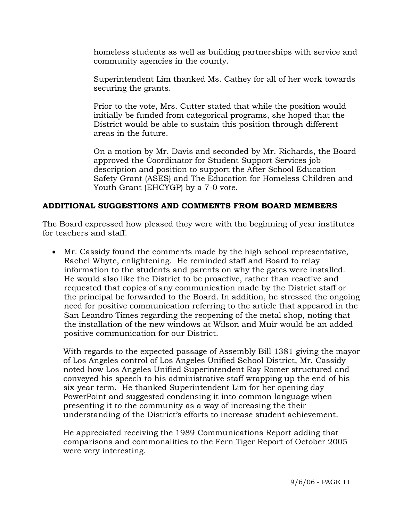homeless students as well as building partnerships with service and community agencies in the county.

Superintendent Lim thanked Ms. Cathey for all of her work towards securing the grants.

Prior to the vote, Mrs. Cutter stated that while the position would initially be funded from categorical programs, she hoped that the District would be able to sustain this position through different areas in the future.

On a motion by Mr. Davis and seconded by Mr. Richards, the Board approved the Coordinator for Student Support Services job description and position to support the After School Education Safety Grant (ASES) and The Education for Homeless Children and Youth Grant (EHCYGP) by a 7-0 vote.

# **ADDITIONAL SUGGESTIONS AND COMMENTS FROM BOARD MEMBERS**

The Board expressed how pleased they were with the beginning of year institutes for teachers and staff.

• Mr. Cassidy found the comments made by the high school representative, Rachel Whyte, enlightening. He reminded staff and Board to relay information to the students and parents on why the gates were installed. He would also like the District to be proactive, rather than reactive and requested that copies of any communication made by the District staff or the principal be forwarded to the Board. In addition, he stressed the ongoing need for positive communication referring to the article that appeared in the San Leandro Times regarding the reopening of the metal shop, noting that the installation of the new windows at Wilson and Muir would be an added positive communication for our District.

 With regards to the expected passage of Assembly Bill 1381 giving the mayor of Los Angeles control of Los Angeles Unified School District, Mr. Cassidy noted how Los Angeles Unified Superintendent Ray Romer structured and conveyed his speech to his administrative staff wrapping up the end of his six-year term. He thanked Superintendent Lim for her opening day PowerPoint and suggested condensing it into common language when presenting it to the community as a way of increasing the their understanding of the District's efforts to increase student achievement.

 He appreciated receiving the 1989 Communications Report adding that comparisons and commonalities to the Fern Tiger Report of October 2005 were very interesting.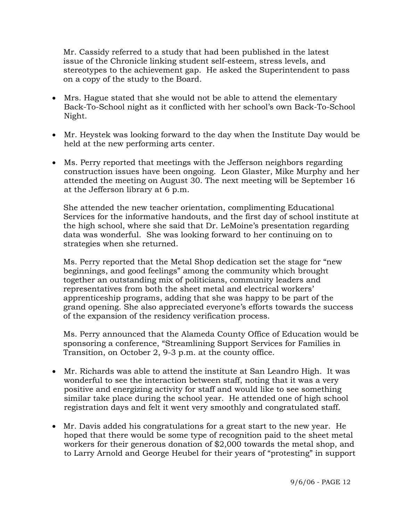Mr. Cassidy referred to a study that had been published in the latest issue of the Chronicle linking student self-esteem, stress levels, and stereotypes to the achievement gap. He asked the Superintendent to pass on a copy of the study to the Board.

- Mrs. Hague stated that she would not be able to attend the elementary Back-To-School night as it conflicted with her school's own Back-To-School Night.
- Mr. Heystek was looking forward to the day when the Institute Day would be held at the new performing arts center.
- Ms. Perry reported that meetings with the Jefferson neighbors regarding construction issues have been ongoing. Leon Glaster, Mike Murphy and her attended the meeting on August 30. The next meeting will be September 16 at the Jefferson library at 6 p.m.

 She attended the new teacher orientation, complimenting Educational Services for the informative handouts, and the first day of school institute at the high school, where she said that Dr. LeMoine's presentation regarding data was wonderful. She was looking forward to her continuing on to strategies when she returned.

 Ms. Perry reported that the Metal Shop dedication set the stage for "new beginnings, and good feelings" among the community which brought together an outstanding mix of politicians, community leaders and representatives from both the sheet metal and electrical workers' apprenticeship programs, adding that she was happy to be part of the grand opening. She also appreciated everyone's efforts towards the success of the expansion of the residency verification process.

 Ms. Perry announced that the Alameda County Office of Education would be sponsoring a conference, "Streamlining Support Services for Families in Transition, on October 2, 9-3 p.m. at the county office.

- Mr. Richards was able to attend the institute at San Leandro High. It was wonderful to see the interaction between staff, noting that it was a very positive and energizing activity for staff and would like to see something similar take place during the school year. He attended one of high school registration days and felt it went very smoothly and congratulated staff.
- Mr. Davis added his congratulations for a great start to the new year. He hoped that there would be some type of recognition paid to the sheet metal workers for their generous donation of \$2,000 towards the metal shop, and to Larry Arnold and George Heubel for their years of "protesting" in support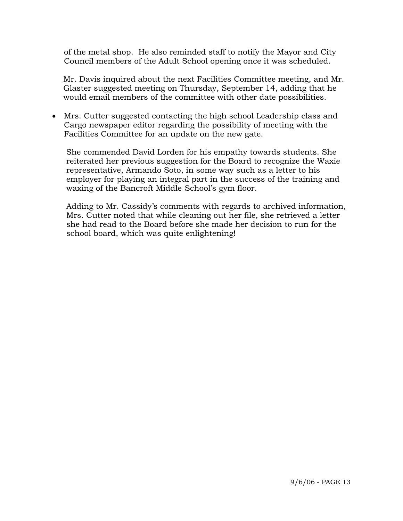of the metal shop. He also reminded staff to notify the Mayor and City Council members of the Adult School opening once it was scheduled.

 Mr. Davis inquired about the next Facilities Committee meeting, and Mr. Glaster suggested meeting on Thursday, September 14, adding that he would email members of the committee with other date possibilities.

• Mrs. Cutter suggested contacting the high school Leadership class and Cargo newspaper editor regarding the possibility of meeting with the Facilities Committee for an update on the new gate.

 She commended David Lorden for his empathy towards students. She reiterated her previous suggestion for the Board to recognize the Waxie representative, Armando Soto, in some way such as a letter to his employer for playing an integral part in the success of the training and waxing of the Bancroft Middle School's gym floor.

 Adding to Mr. Cassidy's comments with regards to archived information, Mrs. Cutter noted that while cleaning out her file, she retrieved a letter she had read to the Board before she made her decision to run for the school board, which was quite enlightening!